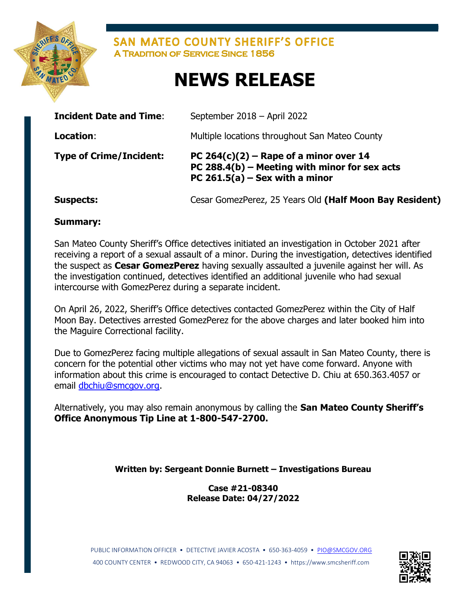

SAN MATEO COUNTY SHERIFF'S OFFICE **A TRADITION OF SERVICE SINCE 1856** 

## NEWS RELEASE

| <b>Incident Date and Time:</b> | September 2018 – April 2022                                                                                                 |
|--------------------------------|-----------------------------------------------------------------------------------------------------------------------------|
| Location:                      | Multiple locations throughout San Mateo County                                                                              |
| <b>Type of Crime/Incident:</b> | PC $264(c)(2)$ – Rape of a minor over 14<br>PC 288.4(b) – Meeting with minor for sex acts<br>PC 261.5(a) – Sex with a minor |
| <b>Suspects:</b>               | Cesar GomezPerez, 25 Years Old (Half Moon Bay Resident)                                                                     |

Summary:

**Service Service** 

San Mateo County Sheriff's Office detectives initiated an investigation in October 2021 after receiving a report of a sexual assault of a minor. During the investigation, detectives identified the suspect as Cesar GomezPerez having sexually assaulted a juvenile against her will. As the investigation continued, detectives identified an additional juvenile who had sexual intercourse with GomezPerez during a separate incident.

On April 26, 2022, Sheriff's Office detectives contacted GomezPerez within the City of Half Moon Bay. Detectives arrested GomezPerez for the above charges and later booked him into the Maguire Correctional facility.

Due to GomezPerez facing multiple allegations of sexual assault in San Mateo County, there is concern for the potential other victims who may not yet have come forward. Anyone with information about this crime is encouraged to contact Detective D. Chiu at 650.363.4057 or email dbchiu@smcgov.org.

Alternatively, you may also remain anonymous by calling the San Mateo County Sheriff's Office Anonymous Tip Line at 1-800-547-2700.

## Written by: Sergeant Donnie Burnett – Investigations Bureau

Case #21-08340 Release Date: 04/27/2022